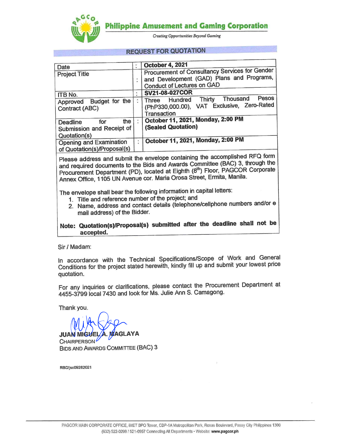**Philippine Amusement and Gaming Corporation** 



**Creating Opportunities Beyond Gaming** 

# **REQUEST FOR QUOTATION**

| Date                                                                |    | <b>October 4, 2021</b>                                                                                                    |  |
|---------------------------------------------------------------------|----|---------------------------------------------------------------------------------------------------------------------------|--|
| <b>Project Title</b>                                                |    | Procurement of Consultancy Services for Gender<br>and Development (GAD) Plans and Programs,<br>Conduct of Lectures on GAD |  |
| ITB No.                                                             |    | SV21-08-027COR                                                                                                            |  |
| Approved Budget for the<br>Contract (ABC)                           |    | Pesos<br>Thousand<br>Hundred Thirty<br>Three<br>(PhP330,000.00), VAT Exclusive, Zero-Rated<br>Transaction                 |  |
| the<br>for<br>Deadline<br>Submission and Receipt of<br>Quotation(s) |    | October 11, 2021, Monday, 2:00 PM<br>(Sealed Quotation)                                                                   |  |
| Opening and Examination<br>of Quotation(s)/Proposal(s)              | Ï. | October 11, 2021, Monday, 2:00 PM                                                                                         |  |

Please address and submit the envelope containing the accomplished RFQ form and required documents to the Bids and Awards Committee (BAC) 3, through the Procurement Department (PD), located at Eighth (8th) Floor, PAGCOR Corporate Annex Office, 1105 UN Avenue cor. Maria Orosa Street, Ermita, Manila.

The envelope shall bear the following information in capital letters:

- 1. Title and reference number of the project; and
- 2. Name, address and contact details (telephone/cellphone numbers and/or e mail address) of the Bidder.

# Note: Quotation(s)/Proposal(s) submitted after the deadline shall not be accepted.

Sir / Madam:

In accordance with the Technical Specifications/Scope of Work and General Conditions for the project stated herewith, kindly fill up and submit your lowest price quotation.

For any inquiries or clarifications, please contact the Procurement Department at 4455-3799 local 7430 and look for Ms. Julie Ann S. Camagong.

Thank you.

**MAGLAYA JUAN MIG CHAIRPERSON BIDS AND AWARDS COMMITTEE (BAC) 3** 

RBD/jsc09282021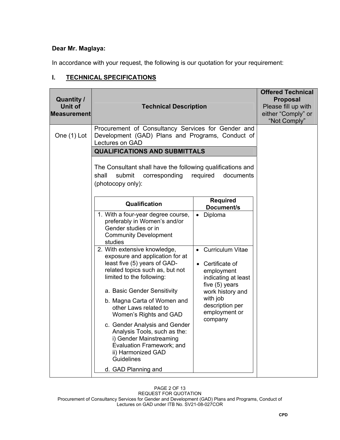## **Dear Mr. Maglaya:**

In accordance with your request, the following is our quotation for your requirement:

# **I. TECHNICAL SPECIFICATIONS**

| <b>Quantity /</b><br><b>Unit of</b><br><b>Measurement</b> | <b>Technical Description</b>                                                                                                                                      |                                                                                                      | <b>Offered Technical</b><br><b>Proposal</b><br>Please fill up with<br>either "Comply" or<br>"Not Comply" |
|-----------------------------------------------------------|-------------------------------------------------------------------------------------------------------------------------------------------------------------------|------------------------------------------------------------------------------------------------------|----------------------------------------------------------------------------------------------------------|
| One (1) Lot                                               | Procurement of Consultancy Services for Gender and<br>Development (GAD) Plans and Programs, Conduct of<br>Lectures on GAD<br><b>QUALIFICATIONS AND SUBMITTALS</b> |                                                                                                      |                                                                                                          |
|                                                           | The Consultant shall have the following qualifications and<br>submit<br>corresponding<br>shall<br>(photocopy only):                                               | required<br>documents                                                                                |                                                                                                          |
|                                                           | Qualification                                                                                                                                                     | <b>Required</b><br>Document/s                                                                        |                                                                                                          |
|                                                           | 1. With a four-year degree course,<br>preferably in Women's and/or<br>Gender studies or in<br><b>Community Development</b><br>studies                             | Diploma                                                                                              |                                                                                                          |
|                                                           | 2. With extensive knowledge,<br>exposure and application for at<br>least five (5) years of GAD-<br>related topics such as, but not<br>limited to the following:   | <b>Curriculum Vitae</b><br>• Certificate of<br>employment<br>indicating at least<br>five $(5)$ years |                                                                                                          |
|                                                           | a. Basic Gender Sensitivity<br>b. Magna Carta of Women and<br>other Laws related to<br>Women's Rights and GAD<br>c. Gender Analysis and Gender                    | work history and<br>with job<br>description per<br>employment or<br>company                          |                                                                                                          |
|                                                           | Analysis Tools, such as the:<br>i) Gender Mainstreaming<br>Evaluation Framework; and<br>ii) Harmonized GAD<br><b>Guidelines</b><br>d. GAD Planning and            |                                                                                                      |                                                                                                          |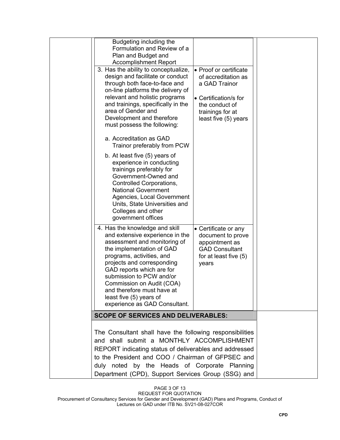| Budgeting including the<br>Formulation and Review of a<br>Plan and Budget and<br><b>Accomplishment Report</b><br>3. Has the ability to conceptualize,<br>• Proof or certificate<br>design and facilitate or conduct<br>of accreditation as<br>through both face-to-face and<br>a GAD Trainor<br>on-line platforms the delivery of<br>relevant and holistic programs<br>• Certification/s for<br>and trainings, specifically in the<br>the conduct of<br>area of Gender and<br>trainings for at<br>Development and therefore<br>least five (5) years<br>must possess the following:<br>a. Accreditation as GAD<br>Trainor preferably from PCW<br>b. At least five (5) years of<br>experience in conducting<br>trainings preferably for<br>Government-Owned and<br>Controlled Corporations,<br><b>National Government</b><br>Agencies, Local Government<br>Units, State Universities and<br>Colleges and other<br>government offices<br>4. Has the knowledge and skill<br>• Certificate or any<br>and extensive experience in the<br>document to prove<br>assessment and monitoring of<br>appointment as<br>the implementation of GAD<br><b>GAD Consultant</b><br>programs, activities, and<br>for at least five (5)<br>projects and corresponding<br>years<br>GAD reports which are for<br>submission to PCW and/or<br>Commission on Audit (COA)<br>and therefore must have at<br>least five (5) years of<br>experience as GAD Consultant. |                                                                                                                                                                                                                                                                                                                             |  |
|-------------------------------------------------------------------------------------------------------------------------------------------------------------------------------------------------------------------------------------------------------------------------------------------------------------------------------------------------------------------------------------------------------------------------------------------------------------------------------------------------------------------------------------------------------------------------------------------------------------------------------------------------------------------------------------------------------------------------------------------------------------------------------------------------------------------------------------------------------------------------------------------------------------------------------------------------------------------------------------------------------------------------------------------------------------------------------------------------------------------------------------------------------------------------------------------------------------------------------------------------------------------------------------------------------------------------------------------------------------------------------------------------------------------------------------------|-----------------------------------------------------------------------------------------------------------------------------------------------------------------------------------------------------------------------------------------------------------------------------------------------------------------------------|--|
|                                                                                                                                                                                                                                                                                                                                                                                                                                                                                                                                                                                                                                                                                                                                                                                                                                                                                                                                                                                                                                                                                                                                                                                                                                                                                                                                                                                                                                           |                                                                                                                                                                                                                                                                                                                             |  |
|                                                                                                                                                                                                                                                                                                                                                                                                                                                                                                                                                                                                                                                                                                                                                                                                                                                                                                                                                                                                                                                                                                                                                                                                                                                                                                                                                                                                                                           |                                                                                                                                                                                                                                                                                                                             |  |
|                                                                                                                                                                                                                                                                                                                                                                                                                                                                                                                                                                                                                                                                                                                                                                                                                                                                                                                                                                                                                                                                                                                                                                                                                                                                                                                                                                                                                                           | The Consultant shall have the following responsibilities<br>and shall submit a MONTHLY ACCOMPLISHMENT<br>REPORT indicating status of deliverables and addressed<br>to the President and COO / Chairman of GFPSEC and<br>duly noted by the Heads of Corporate Planning<br>Department (CPD), Support Services Group (SSG) and |  |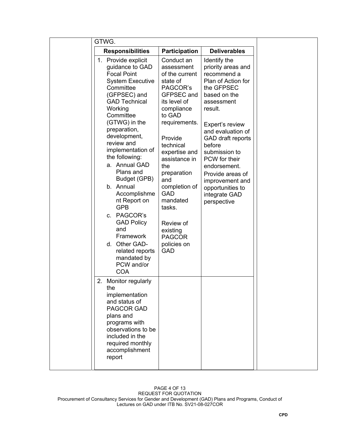| GTWG.                                                                                                                                                                                                                                                                                                                                                                                                                                                                                                                         |                                                                                                                                                                                                                                                                                                                                                              |                                                                                                                                                                                                                                                                                                                                                    |
|-------------------------------------------------------------------------------------------------------------------------------------------------------------------------------------------------------------------------------------------------------------------------------------------------------------------------------------------------------------------------------------------------------------------------------------------------------------------------------------------------------------------------------|--------------------------------------------------------------------------------------------------------------------------------------------------------------------------------------------------------------------------------------------------------------------------------------------------------------------------------------------------------------|----------------------------------------------------------------------------------------------------------------------------------------------------------------------------------------------------------------------------------------------------------------------------------------------------------------------------------------------------|
| <b>Responsibilities</b>                                                                                                                                                                                                                                                                                                                                                                                                                                                                                                       | <b>Participation</b>                                                                                                                                                                                                                                                                                                                                         | <b>Deliverables</b>                                                                                                                                                                                                                                                                                                                                |
| 1. Provide explicit<br>guidance to GAD<br><b>Focal Point</b><br><b>System Executive</b><br>Committee<br>(GFPSEC) and<br><b>GAD Technical</b><br>Working<br>Committee<br>(GTWG) in the<br>preparation,<br>development,<br>review and<br>implementation of<br>the following:<br>a. Annual GAD<br>Plans and<br>Budget (GPB)<br>b. Annual<br>Accomplishme<br>nt Report on<br><b>GPB</b><br>c. PAGCOR's<br><b>GAD Policy</b><br>and<br>Framework<br>Other GAD-<br>d.<br>related reports<br>mandated by<br>PCW and/or<br><b>COA</b> | Conduct an<br>assessment<br>of the current<br>state of<br>PAGCOR's<br>GFPSEC and<br>its level of<br>compliance<br>to GAD<br>requirements.<br>Provide<br>technical<br>expertise and<br>assistance in<br>the<br>preparation<br>and<br>completion of<br><b>GAD</b><br>mandated<br>tasks.<br>Review of<br>existing<br><b>PAGCOR</b><br>policies on<br><b>GAD</b> | Identify the<br>priority areas and<br>recommend a<br>Plan of Action for<br>the GFPSEC<br>based on the<br>assessment<br>result.<br>Expert's review<br>and evaluation of<br>GAD draft reports<br>before<br>submission to<br>PCW for their<br>endorsement.<br>Provide areas of<br>improvement and<br>opportunities to<br>integrate GAD<br>perspective |
| 2. Monitor regularly<br>the<br>implementation<br>and status of<br>PAGCOR GAD<br>plans and<br>programs with<br>observations to be<br>included in the<br>required monthly<br>accomplishment<br>report                                                                                                                                                                                                                                                                                                                           |                                                                                                                                                                                                                                                                                                                                                              |                                                                                                                                                                                                                                                                                                                                                    |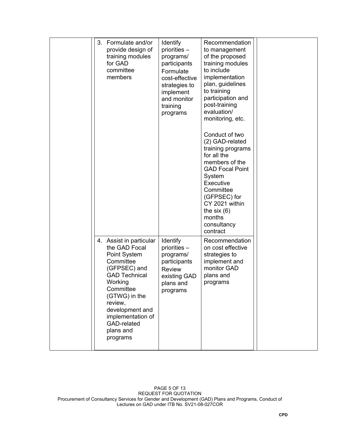|  | 3. Formulate and/or<br>provide design of<br>training modules<br>for GAD<br>committee<br>members                                                                                                                                                   | Identify<br>priorities -<br>programs/<br>participants<br>Formulate<br>cost-effective<br>strategies to<br>implement<br>and monitor<br>training<br>programs | Recommendation<br>to management<br>of the proposed<br>training modules<br>to include<br>implementation<br>plan, guidelines<br>to training<br>participation and<br>post-training<br>evaluation/<br>monitoring, etc.<br>Conduct of two<br>(2) GAD-related<br>training programs<br>for all the<br>members of the<br><b>GAD Focal Point</b><br>System<br>Executive<br>Committee<br>(GFPSEC) for<br>CY 2021 within<br>the six $(6)$<br>months<br>consultancy<br>contract |  |
|--|---------------------------------------------------------------------------------------------------------------------------------------------------------------------------------------------------------------------------------------------------|-----------------------------------------------------------------------------------------------------------------------------------------------------------|---------------------------------------------------------------------------------------------------------------------------------------------------------------------------------------------------------------------------------------------------------------------------------------------------------------------------------------------------------------------------------------------------------------------------------------------------------------------|--|
|  | 4. Assist in particular<br>the GAD Focal<br>Point System<br>Committee<br>(GFPSEC) and<br><b>GAD Technical</b><br>Working<br>Committee<br>(GTWG) in the<br>review,<br>development and<br>implementation of<br>GAD-related<br>plans and<br>programs | <b>Identify</b><br>priorities -<br>programs/<br>participants<br><b>Review</b><br>existing GAD<br>plans and<br>programs                                    | Recommendation<br>on cost effective<br>strategies to<br>implement and<br>monitor GAD<br>plans and<br>programs                                                                                                                                                                                                                                                                                                                                                       |  |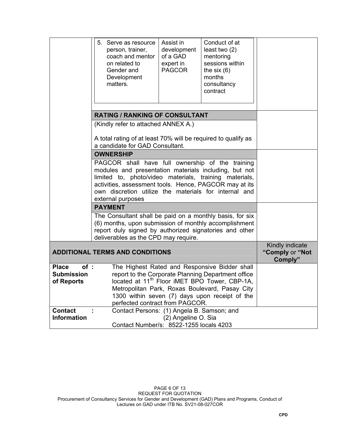|                                                        | 5. Serve as resource<br>person, trainer,<br>coach and mentor<br>on related to<br>Gender and<br>Development<br>matters.                                                                                                                                                                                      | Assist in<br>development<br>of a GAD<br>expert in<br><b>PAGCOR</b> | Conduct of at<br>least two $(2)$<br>mentoring<br>sessions within<br>the six $(6)$<br>months<br>consultancy<br>contract                                                                                                                                               |                                               |
|--------------------------------------------------------|-------------------------------------------------------------------------------------------------------------------------------------------------------------------------------------------------------------------------------------------------------------------------------------------------------------|--------------------------------------------------------------------|----------------------------------------------------------------------------------------------------------------------------------------------------------------------------------------------------------------------------------------------------------------------|-----------------------------------------------|
|                                                        | <b>RATING / RANKING OF CONSULTANT</b>                                                                                                                                                                                                                                                                       |                                                                    |                                                                                                                                                                                                                                                                      |                                               |
|                                                        | (Kindly refer to attached ANNEX A.)                                                                                                                                                                                                                                                                         |                                                                    |                                                                                                                                                                                                                                                                      |                                               |
|                                                        | A total rating of at least 70% will be required to qualify as<br>a candidate for GAD Consultant.                                                                                                                                                                                                            |                                                                    |                                                                                                                                                                                                                                                                      |                                               |
|                                                        | <b>OWNERSHIP</b>                                                                                                                                                                                                                                                                                            |                                                                    |                                                                                                                                                                                                                                                                      |                                               |
|                                                        | PAGCOR shall have full ownership of the training<br>modules and presentation materials including, but not<br>limited to, photo/video materials, training materials,<br>activities, assessment tools. Hence, PAGCOR may at its<br>own discretion utilize the materials for internal and<br>external purposes |                                                                    |                                                                                                                                                                                                                                                                      |                                               |
|                                                        | <b>PAYMENT</b>                                                                                                                                                                                                                                                                                              |                                                                    |                                                                                                                                                                                                                                                                      |                                               |
|                                                        | The Consultant shall be paid on a monthly basis, for six<br>(6) months, upon submission of monthly accomplishment<br>report duly signed by authorized signatories and other<br>deliverables as the CPD may require.                                                                                         |                                                                    |                                                                                                                                                                                                                                                                      |                                               |
|                                                        | <b>ADDITIONAL TERMS AND CONDITIONS</b>                                                                                                                                                                                                                                                                      |                                                                    |                                                                                                                                                                                                                                                                      | Kindly indicate<br>"Comply or "Not<br>Comply" |
| <b>Place</b><br>of:<br><b>Submission</b><br>of Reports | perfected contract from PAGCOR.                                                                                                                                                                                                                                                                             |                                                                    | The Highest Rated and Responsive Bidder shall<br>report to the Corporate Planning Department office<br>located at 11 <sup>th</sup> Floor iMET BPO Tower, CBP-1A,<br>Metropolitan Park, Roxas Boulevard, Pasay City<br>1300 within seven (7) days upon receipt of the |                                               |
| <b>Contact</b><br><b>Information</b>                   | Contact Persons: (1) Angela B. Samson; and<br>Contact Number/s: 8522-1255 locals 4203                                                                                                                                                                                                                       | (2) Angeline O. Sia                                                |                                                                                                                                                                                                                                                                      |                                               |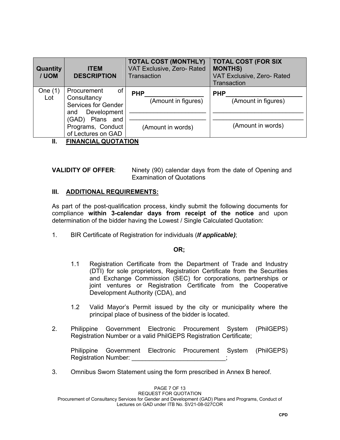| <b>Quantity</b><br>/ UOM | <b>ITEM</b><br><b>DESCRIPTION</b>                                                    | <b>TOTAL COST (MONTHLY)</b><br><b>VAT Exclusive, Zero- Rated</b><br>Transaction | <b>TOTAL COST (FOR SIX</b><br><b>MONTHS)</b><br>VAT Exclusive, Zero-Rated<br>Transaction |
|--------------------------|--------------------------------------------------------------------------------------|---------------------------------------------------------------------------------|------------------------------------------------------------------------------------------|
| One $(1)$<br>Lot         | of<br>Procurement<br>Consultancy<br><b>Services for Gender</b><br>Development<br>and | <b>PHP</b><br>(Amount in figures)                                               | <b>PHP</b><br>(Amount in figures)                                                        |
|                          | (GAD) Plans and<br>Programs, Conduct<br>of Lectures on GAD                           | (Amount in words)                                                               | (Amount in words)                                                                        |
| Ш.                       | <b>FINANCIAL QUOTATION</b>                                                           |                                                                                 |                                                                                          |

**VALIDITY OF OFFER**: Ninety (90) calendar days from the date of Opening and Examination of Quotations

#### **III. ADDITIONAL REQUIREMENTS:**

As part of the post-qualification process, kindly submit the following documents for compliance **within 3-calendar days from receipt of the notice** and upon determination of the bidder having the Lowest / Single Calculated Quotation:

1. BIR Certificate of Registration for individuals (*If applicable)*;

#### **OR;**

- 1.1 Registration Certificate from the Department of Trade and Industry (DTI) for sole proprietors, Registration Certificate from the Securities and Exchange Commission (SEC) for corporations, partnerships or joint ventures or Registration Certificate from the Cooperative Development Authority (CDA), and
- 1.2 Valid Mayor's Permit issued by the city or municipality where the principal place of business of the bidder is located.
- 2. Philippine Government Electronic Procurement System (PhilGEPS) Registration Number or a valid PhilGEPS Registration Certificate;

Philippine Government Electronic Procurement System (PhilGEPS) Registration Number:

3. Omnibus Sworn Statement using the form prescribed in Annex B hereof.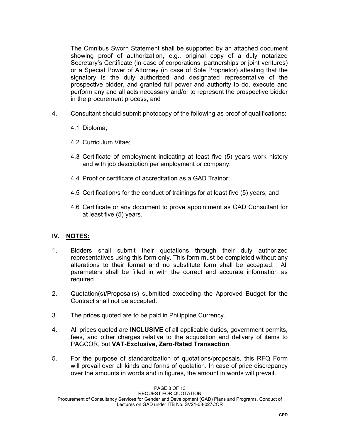The Omnibus Sworn Statement shall be supported by an attached document showing proof of authorization, e.g., original copy of a duly notarized Secretary's Certificate (in case of corporations, partnerships or joint ventures) or a Special Power of Attorney (in case of Sole Proprietor) attesting that the signatory is the duly authorized and designated representative of the prospective bidder, and granted full power and authority to do, execute and perform any and all acts necessary and/or to represent the prospective bidder in the procurement process; and

- 4. Consultant should submit photocopy of the following as proof of qualifications:
	- 4.1 Diploma;
	- 4.2 Curriculum Vitae;
	- 4.3 Certificate of employment indicating at least five (5) years work history and with job description per employment or company;
	- 4.4 Proof or certificate of accreditation as a GAD Trainor;
	- 4.5 Certification/s for the conduct of trainings for at least five (5) years; and
	- 4.6 Certificate or any document to prove appointment as GAD Consultant for at least five (5) years.

# **IV. NOTES:**

- 1. Bidders shall submit their quotations through their duly authorized representatives using this form only. This form must be completed without any alterations to their format and no substitute form shall be accepted. All parameters shall be filled in with the correct and accurate information as required.
- 2. Quotation(s)/Proposal(s) submitted exceeding the Approved Budget for the Contract shall not be accepted.
- 3. The prices quoted are to be paid in Philippine Currency.
- 4. All prices quoted are **INCLUSIVE** of all applicable duties, government permits, fees, and other charges relative to the acquisition and delivery of items to PAGCOR, but **VAT-Exclusive, Zero-Rated Transaction**.
- 5. For the purpose of standardization of quotations/proposals, this RFQ Form will prevail over all kinds and forms of quotation. In case of price discrepancy over the amounts in words and in figures, the amount in words will prevail.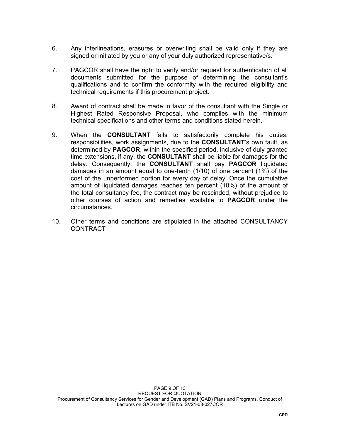- 6. Any interlineations, erasures or overwriting shall be valid only if they are signed or initiated by you or any of your duly authorized representative/s.
- 7. PAGCOR shall have the right to verify and/or request for authentication of all documents submitted for the purpose of determining the consultant's qualifications and to confirm the conformity with the required eligibility and technical requirements if this procurement project.
- 8. Award of contract shall be made in favor of the consultant with the Single or Highest Rated Responsive Proposal, who complies with the minimum technical specifications and other terms and conditions stated herein.
- 9. When the **CONSULTANT** fails to satisfactorily complete his duties, responsibilities, work assignments, due to the **CONSULTANT**'s own fault, as determined by **PAGCOR**, within the specified period, inclusive of duly granted time extensions, if any, the **CONSULTANT** shall be liable for damages for the delay. Consequently, the **CONSULTANT** shall pay **PAGCOR** liquidated damages in an amount equal to one-tenth (1/10) of one percent (1%) of the cost of the unperformed portion for every day of delay. Once the cumulative amount of liquidated damages reaches ten percent (10%) of the amount of the total consultancy fee, the contract may be rescinded, without prejudice to other courses of action and remedies available to **PAGCOR** under the circumstances.
- 10. Other terms and conditions are stipulated in the attached CONSULTANCY CONTRACT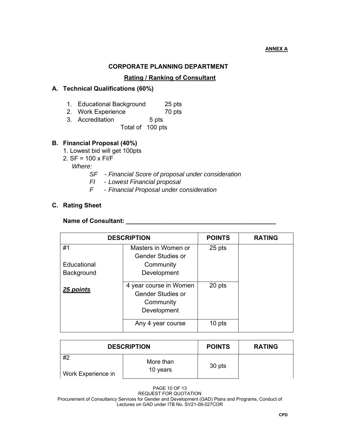## **CORPORATE PLANNING DEPARTMENT**

### **Rating / Ranking of Consultant**

### **A. Technical Qualifications (60%)**

- 1. Educational Background 25 pts
- 2. Work Experience 70 pts
- 3. Accreditation 5 pts
	- Total of 100 pts

#### **B. Financial Proposal (40%)**

- 1. Lowest bid will get 100pts
- 2. SF = 100 x FI/F

 *Where:* 

- *SF Financial Score of proposal under consideration*
- *FI Lowest Financial proposal*
- *F Financial Proposal under consideration*

### **C. Rating Sheet**

#### Name of Consultant:

|             | <b>DESCRIPTION</b>                                                             | <b>POINTS</b> | <b>RATING</b> |
|-------------|--------------------------------------------------------------------------------|---------------|---------------|
| #1          | Masters in Women or                                                            | 25 pts        |               |
|             | <b>Gender Studies or</b>                                                       |               |               |
| Educational | Community                                                                      |               |               |
| Background  | Development                                                                    |               |               |
| 25 points   | 4 year course in Women<br><b>Gender Studies or</b><br>Community<br>Development | 20 pts        |               |
|             | Any 4 year course                                                              | 10 pts        |               |

|                    | <b>DESCRIPTION</b> | <b>POINTS</b> | <b>RATING</b> |
|--------------------|--------------------|---------------|---------------|
| #2                 | More than          | 30 pts        |               |
| Work Experience in | 10 years           |               |               |

PAGE 10 OF 13 REQUEST FOR QUOTATION Procurement of Consultancy Services for Gender and Development (GAD) Plans and Programs, Conduct of Lectures on GAD under ITB No. SV21-08-027COR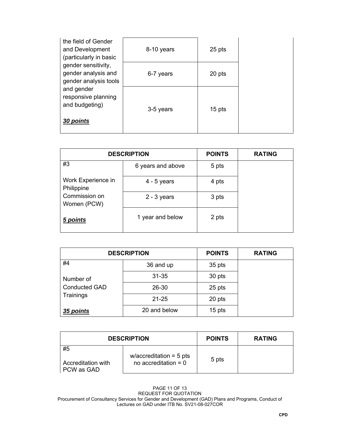| the field of Gender<br>and Development<br>(particularly in basic    | 8-10 years | 25 pts |  |
|---------------------------------------------------------------------|------------|--------|--|
| gender sensitivity,<br>gender analysis and<br>gender analysis tools | 6-7 years  | 20 pts |  |
| and gender<br>responsive planning<br>and budgeting)<br>30 points    | 3-5 years  | 15 pts |  |

|                                  | <b>DESCRIPTION</b> | <b>POINTS</b> | <b>RATING</b> |
|----------------------------------|--------------------|---------------|---------------|
| #3                               | 6 years and above  | 5 pts         |               |
| Work Experience in<br>Philippine | $4 - 5$ years      | 4 pts         |               |
| Commission on<br>Women (PCW)     | $2 - 3$ years      | 3 pts         |               |
| 5 points                         | 1 year and below   | 2 pts         |               |

|                      | <b>DESCRIPTION</b> | <b>POINTS</b> | <b>RATING</b> |
|----------------------|--------------------|---------------|---------------|
| #4                   | 36 and up          | 35 pts        |               |
| Number of            | 31-35              | 30 pts        |               |
| <b>Conducted GAD</b> | 26-30              | 25 pts        |               |
| Trainings            | $21 - 25$          | 20 pts        |               |
| 35 points            | 20 and below       | 15 pts        |               |

| <b>DESCRIPTION</b>                     |                                                     | <b>POINTS</b> | <b>RATING</b> |
|----------------------------------------|-----------------------------------------------------|---------------|---------------|
| #5<br>Accreditation with<br>PCW as GAD | w/accreditation = $5$ pts<br>no accreditation = $0$ | 5 pts         |               |

PAGE 11 OF 13 REQUEST FOR QUOTATION Procurement of Consultancy Services for Gender and Development (GAD) Plans and Programs, Conduct of Lectures on GAD under ITB No. SV21-08-027COR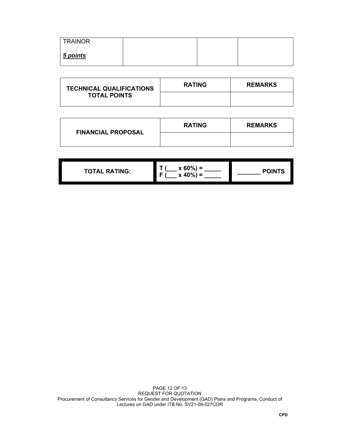| <b>TRAINOR</b> |  |  |
|----------------|--|--|
| $5$ points     |  |  |

| <b>TECHNICAL QUALIFICATIONS</b> | <b>RATING</b> | <b>REMARKS</b> |
|---------------------------------|---------------|----------------|
| <b>TOTAL POINTS</b>             |               |                |

| <b>FINANCIAL PROPOSAL</b> | <b>RATING</b> | <b>REMARKS</b> |
|---------------------------|---------------|----------------|
|                           |               |                |

| $x 40\% =$ |
|------------|
|------------|